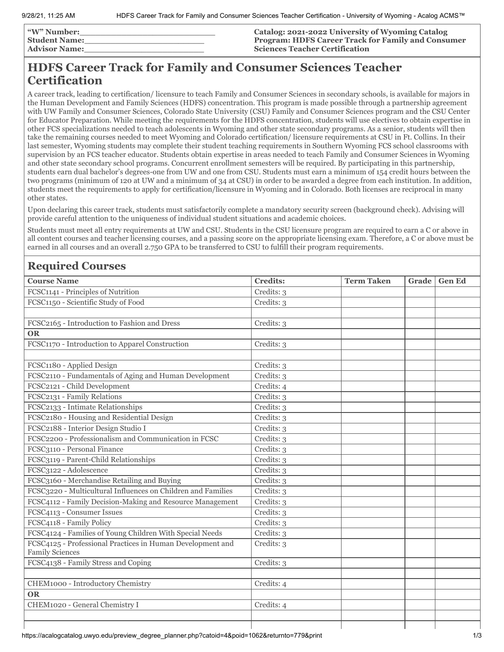| <b>"W" Number:</b>   | <b>Catalog: 2021-2022 University of Wyoming Catalog</b>   |
|----------------------|-----------------------------------------------------------|
| <b>Student Name:</b> | <b>Program: HDFS Career Track for Family and Consumer</b> |
| <b>Advisor Name:</b> | <b>Sciences Teacher Certification</b>                     |

# **HDFS Career Track for Family and Consumer Sciences Teacher Certification**

A career track, leading to certification/ licensure to teach Family and Consumer Sciences in secondary schools, is available for majors in the Human Development and Family Sciences (HDFS) concentration. This program is made possible through a partnership agreement with UW Family and Consumer Sciences, Colorado State University (CSU) Family and Consumer Sciences program and the CSU Center for Educator Preparation. While meeting the requirements for the HDFS concentration, students will use electives to obtain expertise in other FCS specializations needed to teach adolescents in Wyoming and other state secondary programs. As a senior, students will then take the remaining courses needed to meet Wyoming and Colorado certification/ licensure requirements at CSU in Ft. Collins. In their last semester, Wyoming students may complete their student teaching requirements in Southern Wyoming FCS school classrooms with supervision by an FCS teacher educator. Students obtain expertise in areas needed to teach Family and Consumer Sciences in Wyoming and other state secondary school programs. Concurrent enrollment semesters will be required. By participating in this partnership, students earn dual bachelor's degrees-one from UW and one from CSU. Students must earn a minimum of 154 credit hours between the two programs (minimum of 120 at UW and a minimum of 34 at CSU) in order to be awarded a degree from each institution. In addition, students meet the requirements to apply for certification/licensure in Wyoming and in Colorado. Both licenses are reciprocal in many other states.

Upon declaring this career track, students must satisfactorily complete a mandatory security screen (background check). Advising will provide careful attention to the uniqueness of individual student situations and academic choices.

Students must meet all entry requirements at UW and CSU. Students in the CSU licensure program are required to earn a C or above in all content courses and teacher licensing courses, and a passing score on the appropriate licensing exam. Therefore, a C or above must be earned in all courses and an overall 2.750 GPA to be transferred to CSU to fulfill their program requirements.

## **Required Courses**

| <b>Course Name</b>                                                                   | <b>Credits:</b> | <b>Term Taken</b> | Grade | <b>Gen Ed</b> |
|--------------------------------------------------------------------------------------|-----------------|-------------------|-------|---------------|
| FCSC1141 - Principles of Nutrition                                                   | Credits: 3      |                   |       |               |
| FCSC1150 - Scientific Study of Food                                                  | Credits: 3      |                   |       |               |
|                                                                                      |                 |                   |       |               |
| FCSC2165 - Introduction to Fashion and Dress                                         | Credits: 3      |                   |       |               |
| <b>OR</b>                                                                            |                 |                   |       |               |
| FCSC1170 - Introduction to Apparel Construction                                      | Credits: 3      |                   |       |               |
|                                                                                      |                 |                   |       |               |
| FCSC1180 - Applied Design                                                            | Credits: 3      |                   |       |               |
| FCSC2110 - Fundamentals of Aging and Human Development                               | Credits: 3      |                   |       |               |
| FCSC2121 - Child Development                                                         | Credits: 4      |                   |       |               |
| FCSC2131 - Family Relations                                                          | Credits: 3      |                   |       |               |
| FCSC2133 - Intimate Relationships                                                    | Credits: 3      |                   |       |               |
| FCSC2180 - Housing and Residential Design                                            | Credits: 3      |                   |       |               |
| FCSC2188 - Interior Design Studio I                                                  | Credits: 3      |                   |       |               |
| FCSC2200 - Professionalism and Communication in FCSC                                 | Credits: 3      |                   |       |               |
| FCSC3110 - Personal Finance                                                          | Credits: 3      |                   |       |               |
| FCSC3119 - Parent-Child Relationships                                                | Credits: 3      |                   |       |               |
| FCSC3122 - Adolescence                                                               | Credits: 3      |                   |       |               |
| FCSC3160 - Merchandise Retailing and Buying                                          | Credits: 3      |                   |       |               |
| FCSC3220 - Multicultural Influences on Children and Families                         | Credits: 3      |                   |       |               |
| FCSC4112 - Family Decision-Making and Resource Management                            | Credits: 3      |                   |       |               |
| FCSC4113 - Consumer Issues                                                           | Credits: 3      |                   |       |               |
| FCSC4118 - Family Policy                                                             | Credits: 3      |                   |       |               |
| FCSC4124 - Families of Young Children With Special Needs                             | Credits: 3      |                   |       |               |
| FCSC4125 - Professional Practices in Human Development and<br><b>Family Sciences</b> | Credits: 3      |                   |       |               |
| FCSC4138 - Family Stress and Coping                                                  | Credits: 3      |                   |       |               |
|                                                                                      |                 |                   |       |               |
| CHEM1000 - Introductory Chemistry                                                    | Credits: 4      |                   |       |               |
| <b>OR</b>                                                                            |                 |                   |       |               |
| CHEM1020 - General Chemistry I                                                       | Credits: 4      |                   |       |               |
|                                                                                      |                 |                   |       |               |
|                                                                                      |                 |                   |       |               |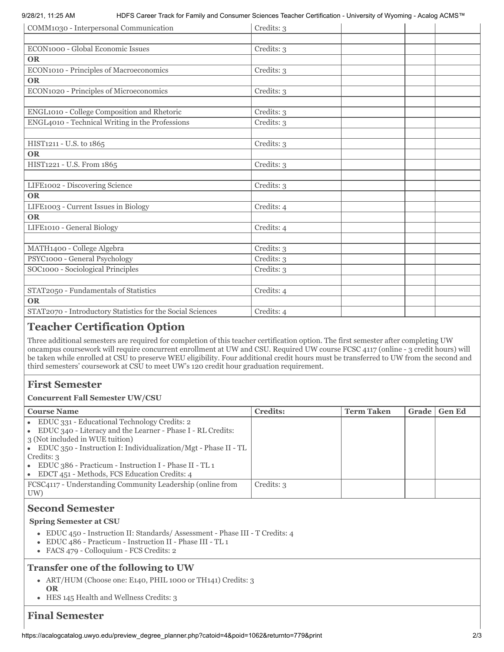9/28/21, 11:25 AM HDFS Career Track for Family and Consumer Sciences Teacher Certification - University of Wyoming - Acalog ACMS™

| COMM1030 - Interpersonal Communication                     | Credits: 3 |
|------------------------------------------------------------|------------|
|                                                            |            |
| ECON1000 - Global Economic Issues                          | Credits: 3 |
| <b>OR</b>                                                  |            |
| ECON1010 - Principles of Macroeconomics                    | Credits: 3 |
| <b>OR</b>                                                  |            |
| ECON1020 - Principles of Microeconomics                    | Credits: 3 |
|                                                            |            |
| ENGL1010 - College Composition and Rhetoric                | Credits: 3 |
| ENGL4010 - Technical Writing in the Professions            | Credits: 3 |
|                                                            |            |
| HIST1211 - U.S. to 1865                                    | Credits: 3 |
| <b>OR</b>                                                  |            |
| HIST1221 - U.S. From 1865                                  | Credits: 3 |
|                                                            |            |
| LIFE1002 - Discovering Science                             | Credits: 3 |
| <b>OR</b>                                                  |            |
| LIFE1003 - Current Issues in Biology                       | Credits: 4 |
| <b>OR</b>                                                  |            |
| LIFE1010 - General Biology                                 | Credits: 4 |
|                                                            |            |
| MATH1400 - College Algebra                                 | Credits: 3 |
| PSYC1000 - General Psychology                              | Credits: 3 |
| SOC1000 - Sociological Principles                          | Credits: 3 |
|                                                            |            |
| STAT2050 - Fundamentals of Statistics                      | Credits: 4 |
| <b>OR</b>                                                  |            |
| STAT2070 - Introductory Statistics for the Social Sciences | Credits: 4 |

## **Teacher Certification Option**

Three additional semesters are required for completion of this teacher certification option. The first semester after completing UW oncampus coursework will require concurrent enrollment at UW and CSU. Required UW course FCSC 4117 (online - 3 credit hours) will be taken while enrolled at CSU to preserve WEU eligibility. Four additional credit hours must be transferred to UW from the second and third semesters' coursework at CSU to meet UW's 120 credit hour graduation requirement.

## **First Semester**

#### **Concurrent Fall Semester UW/CSU**

| <b>Course Name</b>                                                                                                                                                                                                                                                                                                                                  | <b>Credits:</b> | <b>Term Taken</b> | Grade | <b>Gen Ed</b> |
|-----------------------------------------------------------------------------------------------------------------------------------------------------------------------------------------------------------------------------------------------------------------------------------------------------------------------------------------------------|-----------------|-------------------|-------|---------------|
| • EDUC 331 - Educational Technology Credits: 2<br>• EDUC 340 - Literacy and the Learner - Phase I - RL Credits:<br>3 (Not included in WUE tuition)<br>• EDUC 350 - Instruction I: Individualization/Mgt - Phase II - TL<br>Credits: 3<br>• EDUC 386 - Practicum - Instruction I - Phase II - TL 1<br>• EDCT 451 - Methods, FCS Education Credits: 4 |                 |                   |       |               |
| FCSC4117 - Understanding Community Leadership (online from<br>UW)                                                                                                                                                                                                                                                                                   | Credits: 3      |                   |       |               |

## **Second Semester**

#### **Spring Semester at CSU**

- EDUC 450 Instruction II: Standards/ Assessment Phase III T Credits: 4
- EDUC 486 Practicum Instruction II Phase III TL 1
- FACS 479 Colloquium FCS Credits: 2

### **Transfer one of the following to UW**

- ART/HUM (Choose one: E140, PHIL 1000 or TH141) Credits: 3 **OR**
- HES 145 Health and Wellness Credits: 3

## **Final Semester**